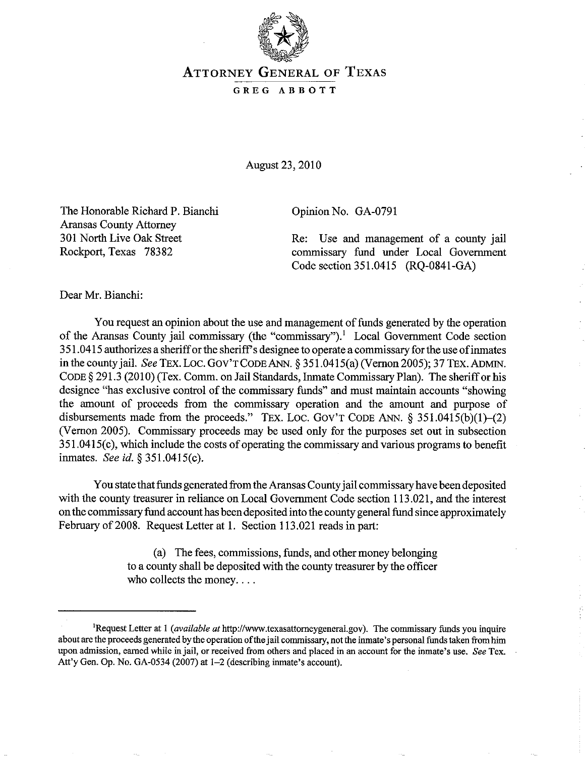

## ATTORNEY GENERAL OF TEXAS GREG ABBOTT

August 23,2010

The Honorable Richard P. Bianchi Aransas County Attorney 301 North Live Oak Street Rockport, Texas 78382

Opinion No. GA-0791

Re: Use and management of a county jail commissary fund under Local Government Code section 351.0415 (RQ-0841-GA)

Dear Mr. Bianchi:

You request an opinion about the use and management of funds generated by the operation of the Aransas County jail commissary (the "commissary").<sup>1</sup> Local Government Code section 3 51. 0415 authorizes a sheriff or the sheriff s designee to operate a commissary for the use of inmates in the county jail. *See TEX. LOC. GOV'T CODE ANN.* § 351.0415(a) (Vernon 2005); 37 TEX. ADMIN. CODE § 291.3 (2010) (Tex. Comm. on Jail Standards, Inmate Commissary Plan). The sheriff or his designee "has exclusive control of the commissary funds" and must maintain accounts "showing the amount of proceeds from the commissary operation and the amount and purpose of disbursements made from the proceeds." TEX. LOC. GOV'T CODE ANN.  $\S$  351.0415(b)(1)-(2) (Vernon 2005). Commissary proceeds may be used only for the purposes set out in subsection 3SI.041S(c), which include the costs of operating the commissary and various programs to benefit inmates. *See id.* § 351.0415(c).

You state that funds generated from the Aransas County jail commissary have been deposited with the county treasurer in reliance on Local Government Code section 113.021, and the interest on the commissary fund account has been deposited into the county general fund since approximately February of 2008. Request Letter at 1. Section 113.021 reads in part:

> (a) The fees, commissions, funds, and other money belonging to a county shall be deposited with the county treasurer by the officer who collects the money....

<sup>&</sup>lt;sup>1</sup>Request Letter at 1 *(available at* http://www.texasattorneygeneral.gov). The commissary funds you inquire about are the proceeds generated by the operation of the jail conunissary, not the inmate's personal funds taken from him **upon admission, earned while injail, or received from others and placed in an account for the inmate's use.** *See* **Tex.**  Att'y Gen. Op. No. GA-0534 (2007) at 1-2 (describing inmate's account).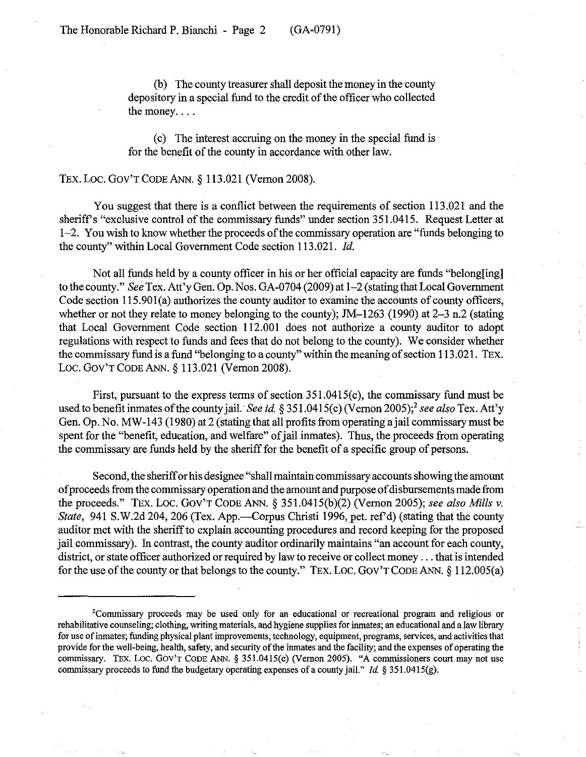(b) The county treasurer shall deposit the money in the county depository in a special fund to the credit of the officer who collected the money....

( c) The interest accruing on the money in the special fund is for the benefit of the county in accordance with other law.

## TEX. LOC. GOV'T CODE ANN. § 113.021 (Vernon 2008).

You suggest that there is a conflict between the requirements of section 113.021 and the sheriffs "exclusive control of the commissary funds" under section 351.0415. Request Letter at 1-2. You wish to know whether the proceeds of the commissary operation are "funds belonging to the county" within Local Government Code section 113.021. *Id.* 

Not all funds held by a county officer in his or her official capacity are funds "belong[ing] to the county." *See* Tex. Att'y Gen. Op. Nos. GA-0704 (2009) at 1-2 (stating that Local Government Code section 115.901(a) authorizes the county auditor to examine the accounts of county officers, whether or not they relate to money belonging to the county); JM-1263 (1990) at 2-3 n.2 (stating that Local Government Code section 112.001 does not authorize a county auditor to adopt regulations with respect to funds and fees that do not belong to the county). We consider whether the commissary fund is a fund "belonging to a county" within the meaning of section 113 .021. TEx. Loc. GOV'T CODE ANN. § 113.021 (Vernon 2008).

First, pursuant to the express terms of section 351.0415(c), the commissary fund must be used to benefit inmates of the county jail. *See id.* § 351.0415(c) (Vernon 2005);<sup>2</sup> see also Tex. Att'y Gen. Op. No. MW-143 (1980) at 2 (stating that all profits from operating a jail commissary must be spent for the "benefit, education, and welfare" of jail imnates). Thus, the proceeds from operating the commissary are funds held by the sheriff for the benefit of a specific group of persons.

Second, the sheriff or his designee "shall maintain commissary accounts showing the amount of proceeds from the commissary operation and the amount and purpose of disbursements made from the proceeds." TEx. Loc. GOV'T CODE ANN. § 351.0415(b)(2) (Vernon 2005); *see also Mills* v. *State*, 941 S.W.2d 204, 206 (Tex. App.—Corpus Christi 1996, pet. ref'd) (stating that the county auditor met with the sheriff to explain accounting procedures and record keeping for the proposed jail commissary). In contrast, the county auditor ordinarily maintains "an account for each county, district, or state officer authorized or required by law to receive or collect money ... that is intended for the use of the county or that belongs to the county." TEx. Loc. GOV'T CODE ANN. § 112.005(a)

<sup>&#</sup>x27;Commissary proceeds may be used only for an educational or recreational program and religious or rehabilitative counseling; clothing, writing materials, and hygiene supplies for inmates; an educational and a law library for use of inmates; funding physical plant improvements, technology, equipment, programs, services, and activities that provide for the well-being, health, safety, and security of the inmates and the facility; and the expenses of operating the commissary. TEx. Loc. GOV'T CODE ANN. § 351.0415(c) (Vernon 2005). "A commissioners court may not use commissary proceeds to fund the budgetary operating expenses of a county jail." *Id.*  $\S 351.0415(g)$ .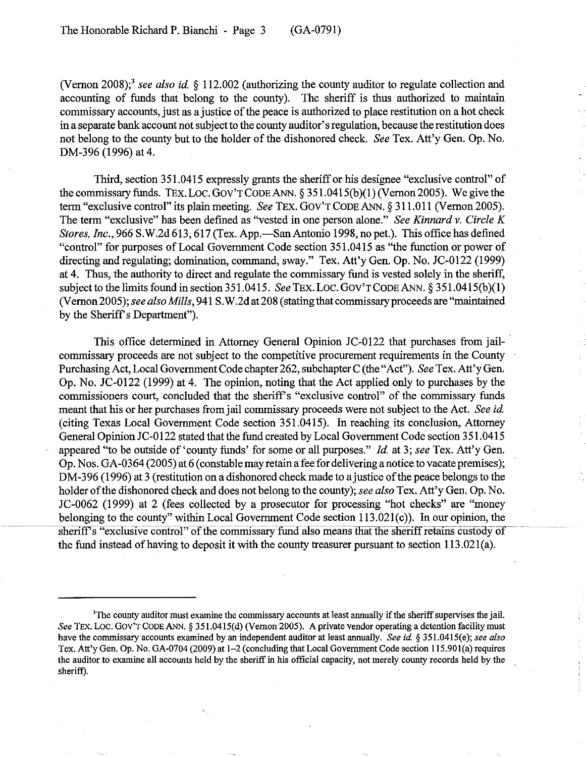(Vernon 2008);3 *see also id.* § 112.002 (authorizing the county auditor to regulate collection and accounting of funds that belong to the county). The sheriff is thus authorized to maintain commissary accounts, just as a justice of the peace is authorized to place restitution on a hot check in a separate bank account not subject to the county auditor's regulation, because the restitution does not belong to the county but to the holder of the dishonored check. *See* Tex. Att'y Gen. Op. No. DM-396 (1996) at 4.

Third, section 351.0415 expressly grants the sheriff or his designee "exclusive control" of the commissary funds. TEx. Loc. GOY'T CODE ANN. § 351.0415(b)(1) (Vernon 2005). We give the term "exclusive control" its plain meeting. *See* TEx. GOy'TCODEANN. § 311.011 (Vernon 2005). The term "exclusive" has been defined as "vested in one person alone." *See Kinnard* v. *Circle K Stores, Inc.*, 966 S.W.2d 613, 617 (Tex. App.—San Antonio 1998, no pet.). This office has defined "control" for purposes of Local Govemment Code section 351.0415 as "the function or power of directing and regulating; domination, command, sway." Tex. Att'y Gen. Op. No. JC-0122 (1999) at 4. Thus, the authority to direct and regulate the commissary fund is vested solely in the sheriff, subject to the limits found in section 351.0415. *See* TEx. Loc. GOy'TCODEANN. § 351.0415(b)(l) (Vernon 2005); *see also Mills,* 941 S. W.2d at 208 (stating that commissary proceeds are "maintained by the Sheriff's Department").

This office determined in Attorney General Opinion JC-0122 that purchases from jailcommissary proceeds are not subject to the competitive procurement requirements in the County Purchasing Act, Local Govemment Code chapter 262, subchapter C (the "Act"). *See* Tex. Att'y Gen. Op. No. JC-0122 (1999) at 4. The opinion, noting that the Act applied only to purchases by the commissioners court, concluded that the sheriff's "exclusive control" of the commissary funds meant that his or her purchases from jail commissary proceeds were not subject to the Act. *See id.*  (citing Texas Local Govemment Code section 351.0415). In reaching its conclusion, Attorney General Opinion JC-0122 stated that the fund created by Local Government Code section 351.0415 appeared "to be outside of 'county funds' for some or all purposes." *Id.* at 3; *see* Tex. Att'y Gen. Op. Nos. GA-0364 (2005) at 6 (constable may retain a fee for delivering a notice to vacate premises); DM-396 (1996) at 3 (restitution on a dishonored check made to a justice of the peace belongs to the holder of the dishonored check and does not belong to the county); *see also* Tex. Att'y Gen. Op. No. JC-0062 (1999) at 2 (fees collected by a prosecutor for processing "hot checks" are "money belonging to the county" within Local Government Code section 113.021(c)). In our opinion, the sheriff's "exclusive control" of the commissary fund also means that the sheriff retains custody of the fund instead of having to deposit it with the county treasurer pursuant to section 113.021(a).

<sup>&#</sup>x27;The county auditor must examine the commissary accounts at least annually if the sheriff supervises the jail. *See* TEx. Loc. Gov'T CODE ANN. § 351.0415(d) (Vernon 2005). A private vendor operating a detention facility must have the commissary accounts examined by an independent auditor at least annually. *See id.* § 351.0415(e); *see also* Tex. Att'y Gen. Op. No. GA-0704 (2009) at 1-2 (concluding that Local Government Code section 115.901(a) requires the auditor to examine all accounts held by the sheriff in his official capacity, not merely county records held by the sheriff).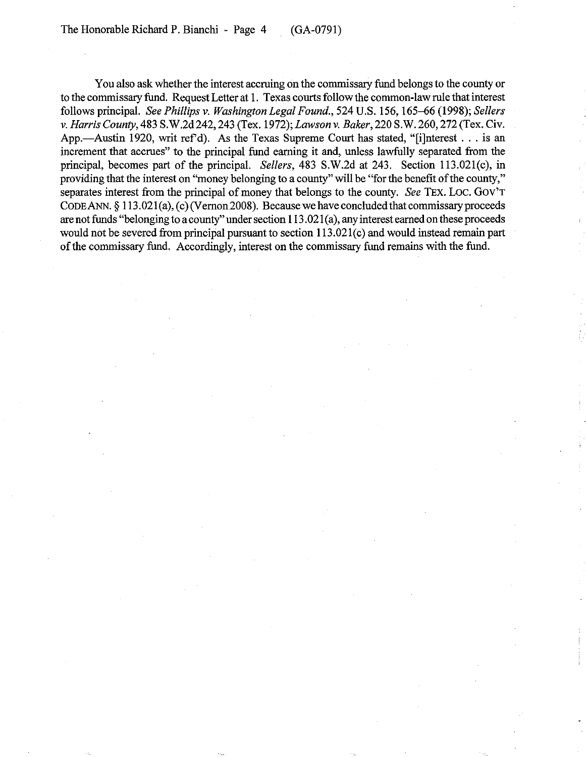You also ask whether the interest accruing on the commissary fund belongs to the county or to the commissary fund. Request Letter at 1. Texas courts follow the common-law rule that interest follows principal. *See Phillips* v. *Washington Legal Found.,* 524 U.S. 156, 165--66 (1998); *Sellers*  v. *Harris County,* 483 S.W.2d 242, 243 (Tex. 1972); *Lawson* v. *Baker,* 220 S.W. 260, 272 (Tex. Civ. App.—Austin 1920, writ ref'd). As the Texas Supreme Court has stated, " $I$ ilnterest ... is an increment that accrues" to the principal fund earning it and, unless lawfully separated from the principal, becomes part of the principal. *Sellers*, 483 S.W.2d at 243. Section 113.021(c), in providing that the interest on "money belonging to a county" will be "for the benefit of the county," separates interest from the principal of money that belongs to the county. *See* TEx. Loc. GOV'T CODEANN. § 113.021(a), (c) (Vernon 2008). Because we have concluded that commissary proceeds are not funds "belonging to a county" under section 1l3. 021 (a), any interest earned on these proceeds would not be severed from principal pursuant to section 1l3.021(c) and would instead remain part of the commissary fund. Accordingly, interest on the commissary fund remains with the fund.